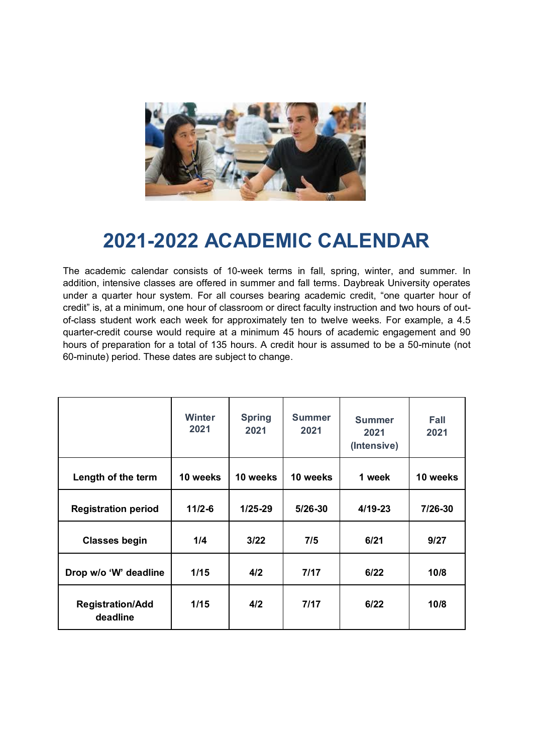

## **2021-2022 ACADEMIC CALENDAR**

The academic calendar consists of 10-week terms in fall, spring, winter, and summer. In addition, intensive classes are offered in summer and fall terms. Daybreak University operates under a quarter hour system. For all courses bearing academic credit, "one quarter hour of credit" is, at a minimum, one hour of classroom or direct faculty instruction and two hours of outof-class student work each week for approximately ten to twelve weeks. For example, a 4.5 quarter-credit course would require at a minimum 45 hours of academic engagement and 90 hours of preparation for a total of 135 hours. A credit hour is assumed to be a 50-minute (not 60-minute) period. These dates are subject to change.

|                                     | <b>Winter</b><br>2021 | <b>Spring</b><br>2021 | <b>Summer</b><br>2021 | <b>Summer</b><br>2021<br>(Intensive) | <b>Fall</b><br>2021 |
|-------------------------------------|-----------------------|-----------------------|-----------------------|--------------------------------------|---------------------|
| Length of the term                  | 10 weeks              | 10 weeks              | 10 weeks              | 1 week                               | 10 weeks            |
| <b>Registration period</b>          | $11/2 - 6$            | $1/25 - 29$           | $5/26 - 30$           | $4/19 - 23$                          | 7/26-30             |
| <b>Classes begin</b>                | 1/4                   | 3/22                  | 7/5                   | 6/21                                 | 9/27                |
| Drop w/o 'W' deadline               | 1/15                  | 4/2                   | 7/17                  | 6/22                                 | 10/8                |
| <b>Registration/Add</b><br>deadline | 1/15                  | 4/2                   | 7/17                  | 6/22                                 | 10/8                |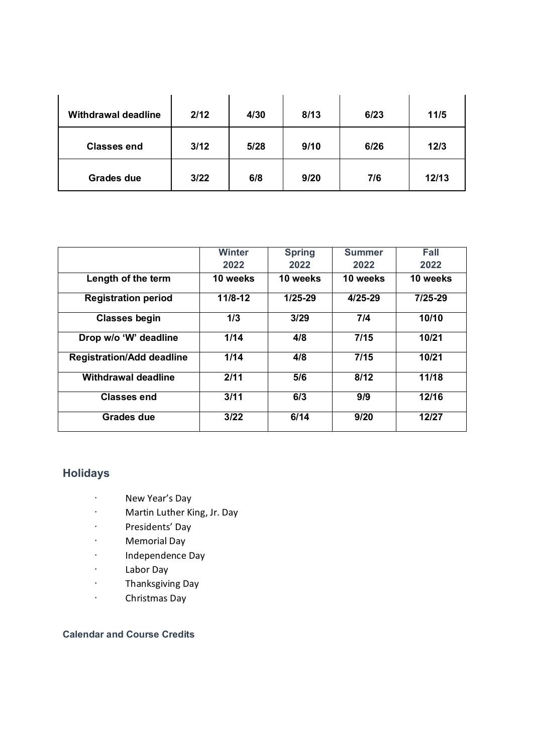| <b>Withdrawal deadline</b> | 2/12 | 4/30 | 8/13 | 6/23 | 11/5  |
|----------------------------|------|------|------|------|-------|
| <b>Classes end</b>         | 3/12 | 5/28 | 9/10 | 6/26 | 12/3  |
| <b>Grades due</b>          | 3/22 | 6/8  | 9/20 | 7/6  | 12/13 |

|                                  | <b>Winter</b> | <b>Spring</b> | <b>Summer</b> | Fall        |
|----------------------------------|---------------|---------------|---------------|-------------|
|                                  | 2022          | 2022          | 2022          | 2022        |
| Length of the term               | 10 weeks      | 10 weeks      | 10 weeks      | 10 weeks    |
| <b>Registration period</b>       | $11/8 - 12$   | $1/25-29$     | $4/25 - 29$   | $7/25 - 29$ |
| <b>Classes begin</b>             | 1/3           | 3/29          | 7/4           | 10/10       |
| Drop w/o 'W' deadline            | 1/14          | 4/8           | 7/15          | 10/21       |
| <b>Registration/Add deadline</b> | 1/14          | 4/8           | 7/15          | 10/21       |
| <b>Withdrawal deadline</b>       | 2/11          | 5/6           | 8/12          | 11/18       |
| <b>Classes end</b>               | 3/11          | 6/3           | 9/9           | 12/16       |
| Grades due                       | 3/22          | 6/14          | 9/20          | 12/27       |

## **Holidays**

- · New Year's Day
- · Martin Luther King, Jr. Day
- · Presidents' Day
- · Memorial Day
- · Independence Day
- · Labor Day
- · Thanksgiving Day
- · Christmas Day

## **Calendar and Course Credits**